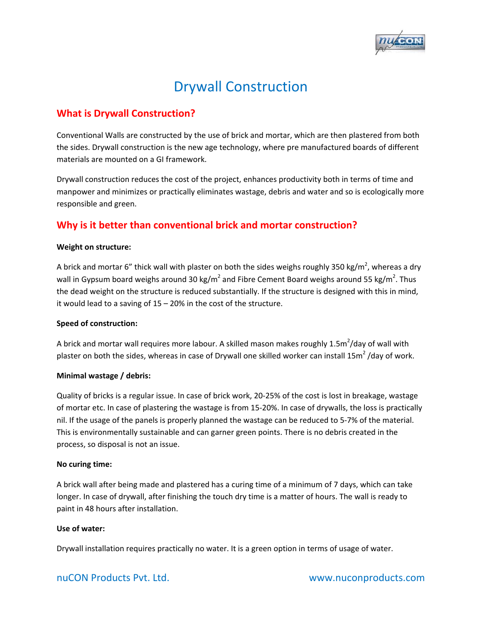

# Drywall Construction

# **What is Drywall Construction?**

Conventional Walls are constructed by the use of brick and mortar, which are then plastered from both the sides. Drywall construction is the new age technology, where pre manufactured boards of different materials are mounted on a GI framework.

Drywall construction reduces the cost of the project, enhances productivity both in terms of time and manpower and minimizes or practically eliminates wastage, debris and water and so is ecologically more responsible and green.

# **Why is it better than conventional brick and mortar construction?**

### **Weight on structure:**

A brick and mortar 6" thick wall with plaster on both the sides weighs roughly 350 kg/m<sup>2</sup>, whereas a dry wall in Gypsum board weighs around 30 kg/m<sup>2</sup> and Fibre Cement Board weighs around 55 kg/m<sup>2</sup>. Thus the dead weight on the structure is reduced substantially. If the structure is designed with this in mind, it would lead to a saving of 15 – 20% in the cost of the structure.

### **Speed of construction:**

A brick and mortar wall requires more labour. A skilled mason makes roughly 1.5m<sup>2</sup>/day of wall with plaster on both the sides, whereas in case of Drywall one skilled worker can install 15 $m^2$ /day of work.

### **Minimal wastage / debris:**

Quality of bricks is a regular issue. In case of brick work, 20‐25% of the cost is lost in breakage, wastage of mortar etc. In case of plastering the wastage is from 15‐20%. In case of drywalls, the loss is practically nil. If the usage of the panels is properly planned the wastage can be reduced to 5‐7% of the material. This is environmentally sustainable and can garner green points. There is no debris created in the process, so disposal is not an issue.

### **No curing time:**

A brick wall after being made and plastered has a curing time of a minimum of 7 days, which can take longer. In case of drywall, after finishing the touch dry time is a matter of hours. The wall is ready to paint in 48 hours after installation.

### **Use of water:**

Drywall installation requires practically no water. It is a green option in terms of usage of water.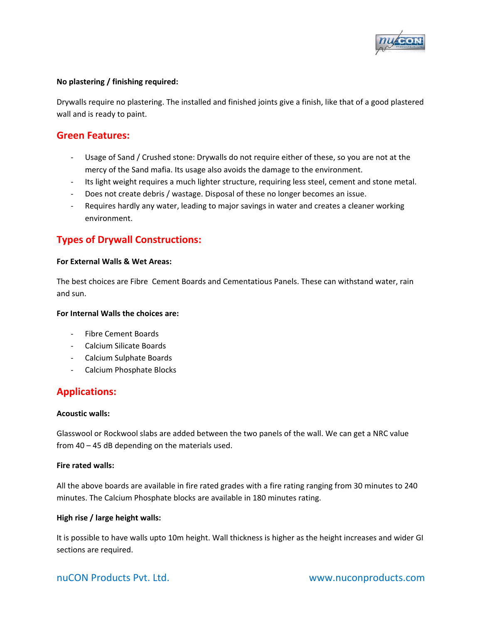

### **No plastering / finishing required:**

Drywalls require no plastering. The installed and finished joints give a finish, like that of a good plastered wall and is ready to paint.

## **Green Features:**

- Usage of Sand / Crushed stone: Drywalls do not require either of these, so you are not at the mercy of the Sand mafia. Its usage also avoids the damage to the environment.
- ‐ Its light weight requires a much lighter structure, requiring less steel, cement and stone metal.
- ‐ Does not create debris / wastage. Disposal of these no longer becomes an issue.
- ‐ Requires hardly any water, leading to major savings in water and creates a cleaner working environment.

# **Types of Drywall Constructions:**

### **For External Walls & Wet Areas:**

The best choices are Fibre Cement Boards and Cementatious Panels. These can withstand water, rain and sun.

#### **For Internal Walls the choices are:**

- ‐ Fibre Cement Boards
- ‐ Calcium Silicate Boards
- ‐ Calcium Sulphate Boards
- ‐ Calcium Phosphate Blocks

### **Applications:**

#### **Acoustic walls:**

Glasswool or Rockwool slabs are added between the two panels of the wall. We can get a NRC value from 40 – 45 dB depending on the materials used.

#### **Fire rated walls:**

All the above boards are available in fire rated grades with a fire rating ranging from 30 minutes to 240 minutes. The Calcium Phosphate blocks are available in 180 minutes rating.

#### **High rise / large height walls:**

It is possible to have walls upto 10m height. Wall thickness is higher as the height increases and wider GI sections are required.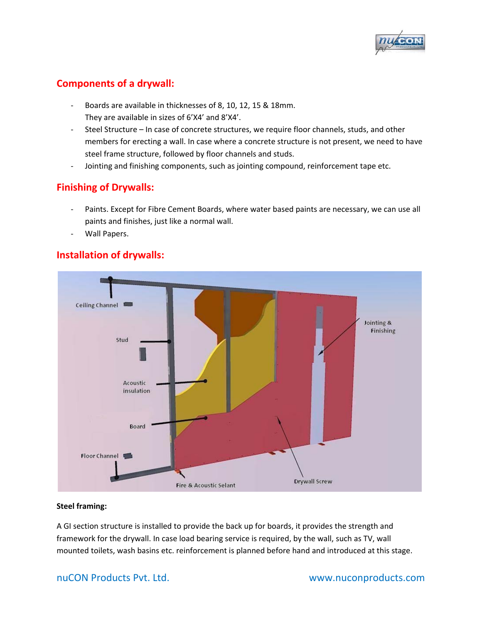

# **Components of a drywall:**

- ‐ Boards are available in thicknesses of 8, 10, 12, 15 & 18mm. They are available in sizes of 6'X4' and 8'X4'.
- ‐ Steel Structure In case of concrete structures, we require floor channels, studs, and other members for erecting a wall. In case where a concrete structure is not present, we need to have steel frame structure, followed by floor channels and studs.
- ‐ Jointing and finishing components, such as jointing compound, reinforcement tape etc.

# **Finishing of Drywalls:**

- Paints. Except for Fibre Cement Boards, where water based paints are necessary, we can use all paints and finishes, just like a normal wall.
- Wall Papers.

# **Installation of drywalls:**



### **Steel framing:**

A GI section structure is installed to provide the back up for boards, it provides the strength and framework for the drywall. In case load bearing service is required, by the wall, such as TV, wall mounted toilets, wash basins etc. reinforcement is planned before hand and introduced at this stage.

### nuCON Products Pvt. Ltd.  **Internal and CON Products** Pvt. Ltd.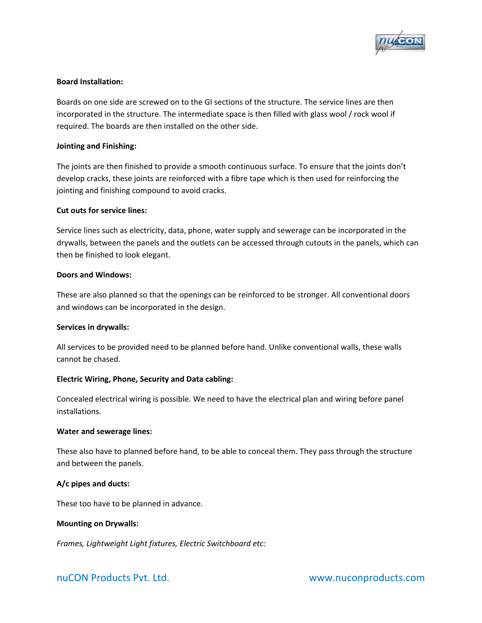

### **Board Installation:**

Boards on one side are screwed on to the GI sections of the structure. The service lines are then incorporated in the structure. The intermediate space is then filled with glass wool / rock wool if required. The boards are then installed on the other side.

### **Jointing and Finishing:**

The joints are then finished to provide a smooth continuous surface. To ensure that the joints don't develop cracks, these joints are reinforced with a fibre tape which is then used for reinforcing the jointing and finishing compound to avoid cracks.

### **Cut outs for service lines:**

Service lines such as electricity, data, phone, water supply and sewerage can be incorporated in the drywalls, between the panels and the outlets can be accessed through cutouts in the panels, which can then be finished to look elegant.

### **Doors and Windows:**

These are also planned so that the openings can be reinforced to be stronger. All conventional doors and windows can be incorporated in the design.

### **Services in drywalls:**

All services to be provided need to be planned before hand. Unlike conventional walls, these walls cannot be chased.

### **Electric Wiring, Phone, Security and Data cabling:**

Concealed electrical wiring is possible. We need to have the electrical plan and wiring before panel installations.

#### **Water and sewerage lines:**

These also have to planned before hand, to be able to conceal them. They pass through the structure and between the panels.

### **A/c pipes and ducts:**

These too have to be planned in advance.

### **Mounting on Drywalls:**

*Frames, Lightweight Light fixtures, Electric Switchboard etc:*